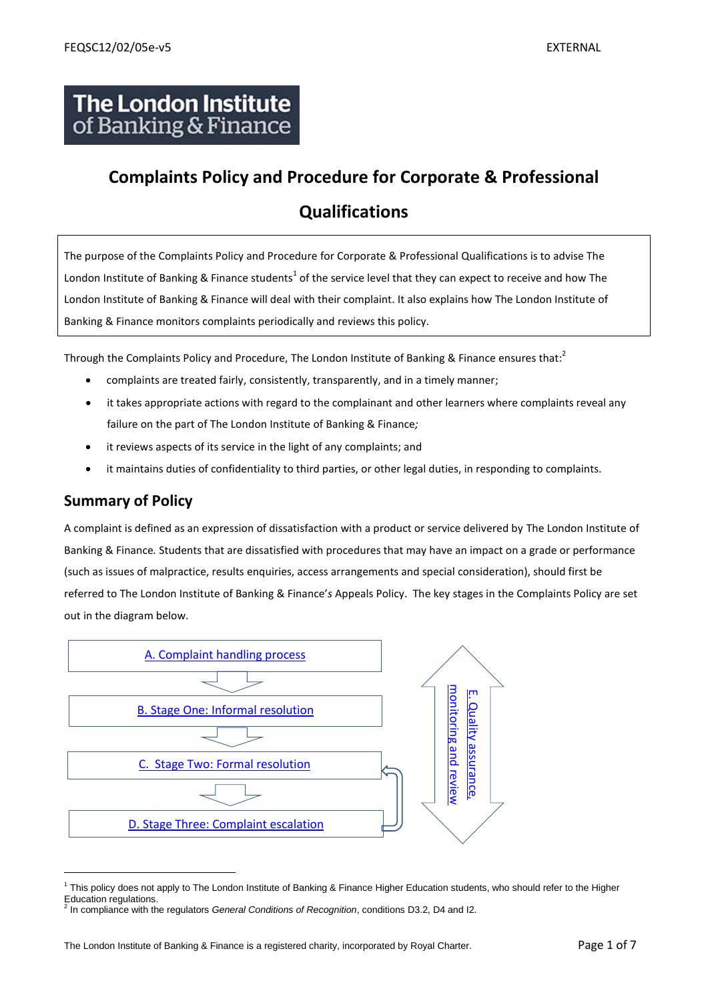# **The London Institute** of Banking & Finance

# **Complaints Policy and Procedure for Corporate & Professional**

# **Qualifications**

The purpose of the Complaints Policy and Procedure for Corporate & Professional Qualifications is to advise The London Institute of Banking & Finance students<sup>1</sup> of the service level that they can expect to receive and how The London Institute of Banking & Finance will deal with their complaint. It also explains how The London Institute of Banking & Finance monitors complaints periodically and reviews this policy.

Through the Complaints Policy and Procedure, The London Institute of Banking & Finance ensures that:<sup>2</sup>

- complaints are treated fairly, consistently, transparently, and in a timely manner;
- it takes appropriate actions with regard to the complainant and other learners where complaints reveal any failure on the part of The London Institute of Banking & Finance*;*
- it reviews aspects of its service in the light of any complaints; and
- it maintains duties of confidentiality to third parties, or other legal duties, in responding to complaints.

# **Summary of Policy**

A complaint is defined as an expression of dissatisfaction with a product or service delivered by The London Institute of Banking & Finance*.* Students that are dissatisfied with procedures that may have an impact on a grade or performance (such as issues of malpractice, results enquiries, access arrangements and special consideration), should first be referred to The London Institute of Banking & Finance'*s* Appeals Policy. The key stages in the Complaints Policy are set out in the diagram below.



<sup>&</sup>lt;sup>1</sup> This policy does not apply to The London Institute of Banking & Finance Higher Education students, who should refer to the Higher Education regulations.<br><sup>2</sup> In compliance with the

In compliance with the regulators *General Conditions of Recognition*, conditions D3.2, D4 and I2.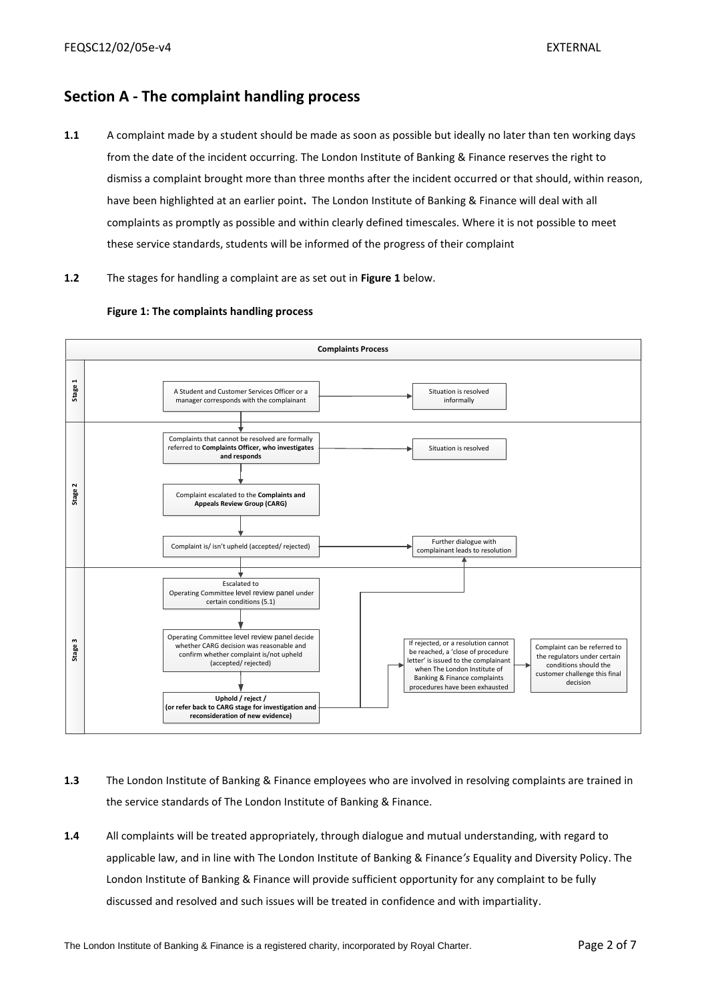# <span id="page-1-0"></span>**Section A - The complaint handling process**

- **1.1** A complaint made by a student should be made as soon as possible but ideally no later than ten working days from the date of the incident occurring. The London Institute of Banking & Finance reserves the right to dismiss a complaint brought more than three months after the incident occurred or that should, within reason, have been highlighted at an earlier point**.** The London Institute of Banking & Finance will deal with all complaints as promptly as possible and within clearly defined timescales. Where it is not possible to meet these service standards, students will be informed of the progress of their complaint
- **1.2** The stages for handling a complaint are as set out in **Figure 1** below.



#### **Figure 1: The complaints handling process**

- **1.3** The London Institute of Banking & Finance employees who are involved in resolving complaints are trained in the service standards of The London Institute of Banking & Finance.
- **1.4** All complaints will be treated appropriately, through dialogue and mutual understanding, with regard to applicable law, and in line with The London Institute of Banking & Finance*'s* Equality and Diversity Policy. The London Institute of Banking & Finance will provide sufficient opportunity for any complaint to be fully discussed and resolved and such issues will be treated in confidence and with impartiality.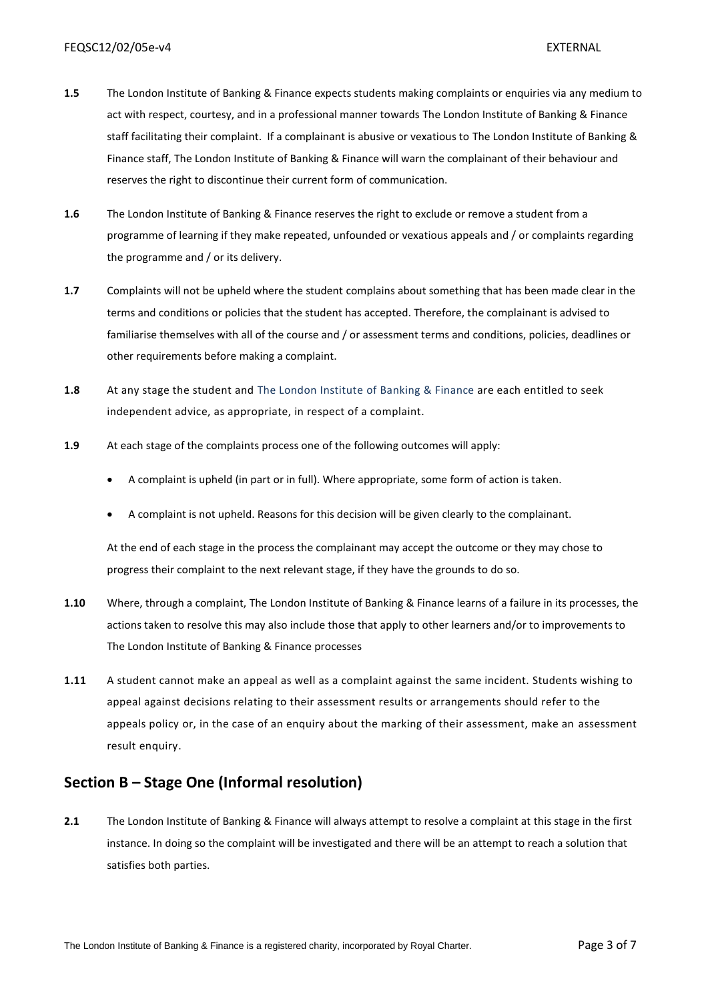- **1.5** The London Institute of Banking & Finance expects students making complaints or enquiries via any medium to act with respect, courtesy, and in a professional manner towards The London Institute of Banking & Finance staff facilitating their complaint. If a complainant is abusive or vexatious to The London Institute of Banking & Finance staff, The London Institute of Banking & Finance will warn the complainant of their behaviour and reserves the right to discontinue their current form of communication.
- **1.6** The London Institute of Banking & Finance reserves the right to exclude or remove a student from a programme of learning if they make repeated, unfounded or vexatious appeals and / or complaints regarding the programme and / or its delivery.
- **1.7** Complaints will not be upheld where the student complains about something that has been made clear in the terms and conditions or policies that the student has accepted. Therefore, the complainant is advised to familiarise themselves with all of the course and / or assessment terms and conditions, policies, deadlines or other requirements before making a complaint.
- **1.8** At any stage the student and The London Institute of Banking & Finance are each entitled to seek independent advice, as appropriate, in respect of a complaint.
- **1.9** At each stage of the complaints process one of the following outcomes will apply:
	- A complaint is upheld (in part or in full). Where appropriate, some form of action is taken.
	- A complaint is not upheld. Reasons for this decision will be given clearly to the complainant.

At the end of each stage in the process the complainant may accept the outcome or they may chose to progress their complaint to the next relevant stage, if they have the grounds to do so.

- **1.10** Where, through a complaint, The London Institute of Banking & Finance learns of a failure in its processes, the actions taken to resolve this may also include those that apply to other learners and/or to improvements to The London Institute of Banking & Finance processes
- **1.11** A student cannot make an appeal as well as a complaint against the same incident. Students wishing to appeal against decisions relating to their assessment results or arrangements should refer to the appeals policy or, in the case of an enquiry about the marking of their assessment, make an assessment result enquiry.

# <span id="page-2-0"></span>**Section B – Stage One (Informal resolution)**

**2.1** The London Institute of Banking & Finance will always attempt to resolve a complaint at this stage in the first instance. In doing so the complaint will be investigated and there will be an attempt to reach a solution that satisfies both parties.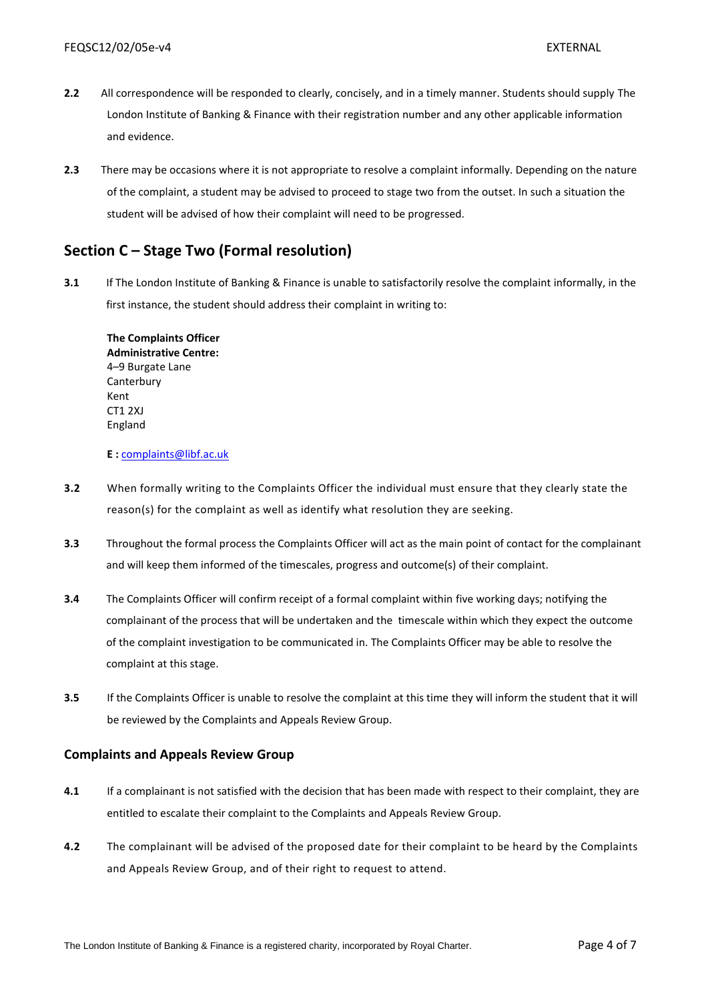- **2.2** All correspondence will be responded to clearly, concisely, and in a timely manner. Students should supply The London Institute of Banking & Finance with their registration number and any other applicable information and evidence.
- **2.3** There may be occasions where it is not appropriate to resolve a complaint informally. Depending on the nature of the complaint, a student may be advised to proceed to stage two from the outset. In such a situation the student will be advised of how their complaint will need to be progressed.

### <span id="page-3-0"></span>**Section C – Stage Two (Formal resolution)**

**3.1** If The London Institute of Banking & Finance is unable to satisfactorily resolve the complaint informally, in the first instance, the student should address their complaint in writing to:

**The Complaints Officer Administrative Centre:** 4–9 Burgate Lane **Canterbury** Kent CT1 2XJ England

#### **E :** [complaints@libf.ac.uk](mailto:complaints@libf.ac.uk)

- **3.2** When formally writing to the Complaints Officer the individual must ensure that they clearly state the reason(s) for the complaint as well as identify what resolution they are seeking.
- **3.3** Throughout the formal process the Complaints Officer will act as the main point of contact for the complainant and will keep them informed of the timescales, progress and outcome(s) of their complaint.
- **3.4** The Complaints Officer will confirm receipt of a formal complaint within five working days; notifying the complainant of the process that will be undertaken and the timescale within which they expect the outcome of the complaint investigation to be communicated in. The Complaints Officer may be able to resolve the complaint at this stage.
- **3.5** If the Complaints Officer is unable to resolve the complaint at this time they will inform the student that it will be reviewed by the Complaints and Appeals Review Group.

#### **Complaints and Appeals Review Group**

- **4.1** If a complainant is not satisfied with the decision that has been made with respect to their complaint, they are entitled to escalate their complaint to the Complaints and Appeals Review Group.
- **4.2** The complainant will be advised of the proposed date for their complaint to be heard by the Complaints and Appeals Review Group, and of their right to request to attend.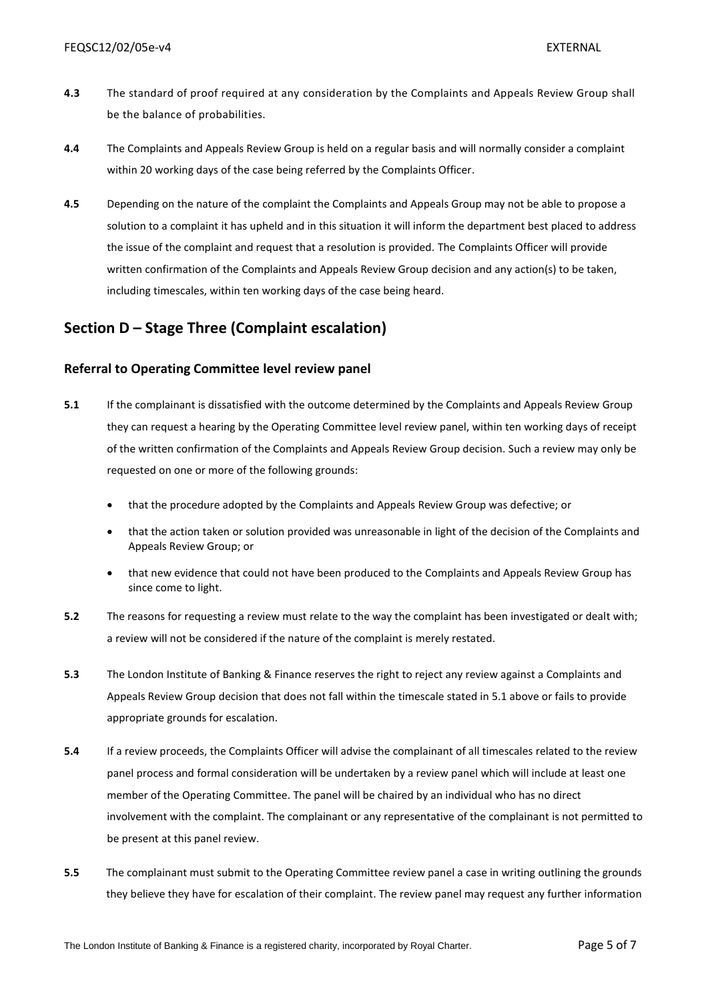- **4.3** The standard of proof required at any consideration by the Complaints and Appeals Review Group shall be the balance of probabilities.
- **4.4** The Complaints and Appeals Review Group is held on a regular basis and will normally consider a complaint within 20 working days of the case being referred by the Complaints Officer.
- **4.5** Depending on the nature of the complaint the Complaints and Appeals Group may not be able to propose a solution to a complaint it has upheld and in this situation it will inform the department best placed to address the issue of the complaint and request that a resolution is provided. The Complaints Officer will provide written confirmation of the Complaints and Appeals Review Group decision and any action(s) to be taken, including timescales, within ten working days of the case being heard.

# <span id="page-4-0"></span>**Section D – Stage Three (Complaint escalation)**

#### **Referral to Operating Committee level review panel**

- **5.1** If the complainant is dissatisfied with the outcome determined by the Complaints and Appeals Review Group they can request a hearing by the Operating Committee level review panel, within ten working days of receipt of the written confirmation of the Complaints and Appeals Review Group decision. Such a review may only be requested on one or more of the following grounds:
	- that the procedure adopted by the Complaints and Appeals Review Group was defective; or
	- that the action taken or solution provided was unreasonable in light of the decision of the Complaints and Appeals Review Group; or
	- that new evidence that could not have been produced to the Complaints and Appeals Review Group has since come to light.
- **5.2** The reasons for requesting a review must relate to the way the complaint has been investigated or dealt with; a review will not be considered if the nature of the complaint is merely restated.
- **5.3** The London Institute of Banking & Finance reserves the right to reject any review against a Complaints and Appeals Review Group decision that does not fall within the timescale stated in 5.1 above or fails to provide appropriate grounds for escalation.
- **5.4** If a review proceeds, the Complaints Officer will advise the complainant of all timescales related to the review panel process and formal consideration will be undertaken by a review panel which will include at least one member of the Operating Committee. The panel will be chaired by an individual who has no direct involvement with the complaint. The complainant or any representative of the complainant is not permitted to be present at this panel review.
- **5.5** The complainant must submit to the Operating Committee review panel a case in writing outlining the grounds they believe they have for escalation of their complaint. The review panel may request any further information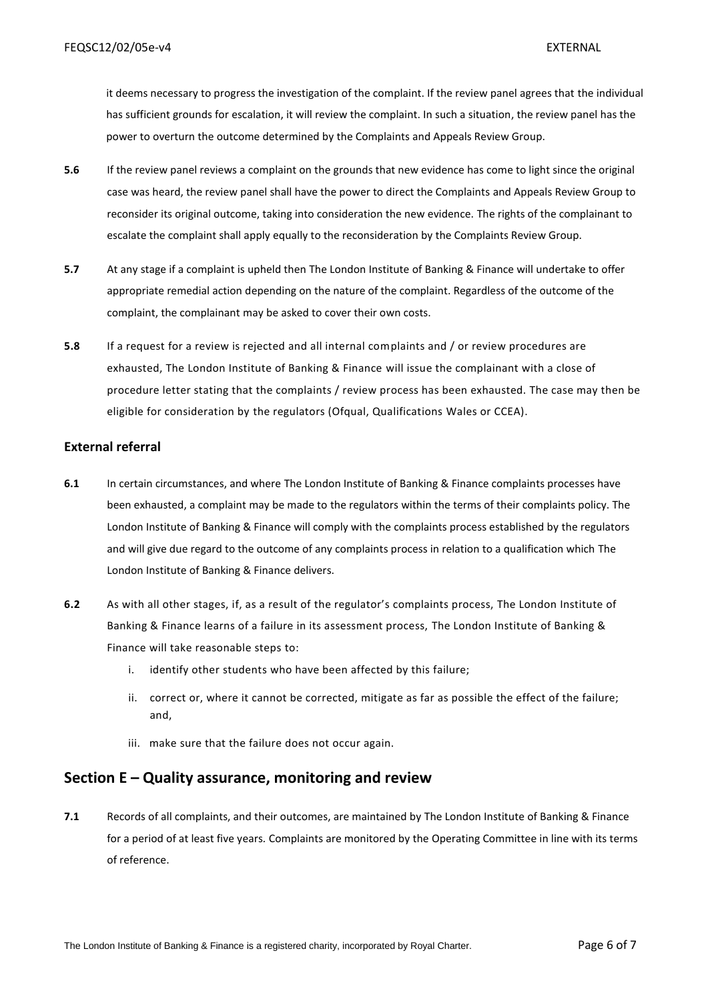it deems necessary to progress the investigation of the complaint. If the review panel agrees that the individual has sufficient grounds for escalation, it will review the complaint. In such a situation, the review panel has the power to overturn the outcome determined by the Complaints and Appeals Review Group.

- **5.6** If the review panel reviews a complaint on the grounds that new evidence has come to light since the original case was heard, the review panel shall have the power to direct the Complaints and Appeals Review Group to reconsider its original outcome, taking into consideration the new evidence. The rights of the complainant to escalate the complaint shall apply equally to the reconsideration by the Complaints Review Group.
- **5.7** At any stage if a complaint is upheld then The London Institute of Banking & Finance will undertake to offer appropriate remedial action depending on the nature of the complaint. Regardless of the outcome of the complaint, the complainant may be asked to cover their own costs.
- **5.8** If a request for a review is rejected and all internal complaints and / or review procedures are exhausted, The London Institute of Banking & Finance will issue the complainant with a close of procedure letter stating that the complaints / review process has been exhausted. The case may then be eligible for consideration by [the regulators \(Ofqual, Qualifications Wales or CCEA\).](http://www.oiahe.org.uk/)

#### **External referral**

- **6.1** In certain circumstances, and where The London Institute of Banking & Finance complaints processes have been exhausted, a complaint may be made to the regulators within the terms of their complaints policy. The London Institute of Banking & Finance will comply with the complaints process established by the regulators and will give due regard to the outcome of any complaints process in relation to a qualification which The London Institute of Banking & Finance delivers.
- **6.2** As with all other stages, if, as a result of the regulator's complaints process, The London Institute of Banking & Finance learns of a failure in its assessment process, The London Institute of Banking & Finance will take reasonable steps to:
	- i. identify other students who have been affected by this failure;
	- ii. correct or, where it cannot be corrected, mitigate as far as possible the effect of the failure; and,
	- iii. make sure that the failure does not occur again.

### <span id="page-5-0"></span>**Section E – Quality assurance, monitoring and review**

**7.1** Records of all complaints, and their outcomes, are maintained by The London Institute of Banking & Finance for a period of at least five years*.* Complaints are monitored by the Operating Committee in line with its terms of reference.